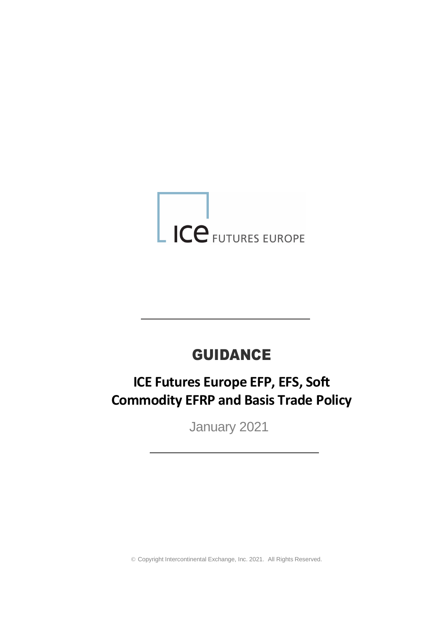# LICE FUTURES EUROPE

# GUIDANCE

# **ICE Futures Europe EFP, EFS, Soft Commodity EFRP and Basis Trade Policy**

January 2021

© Copyright Intercontinental Exchange, Inc. 2021. All Rights Reserved.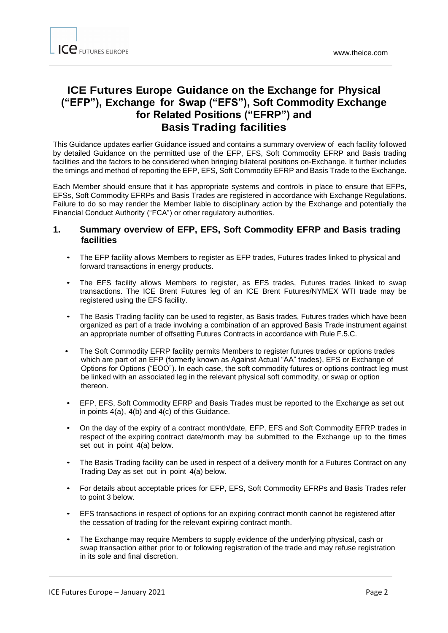# **ICE Futures Europe Guidance on the Exchange for Physical ("EFP"), Exchange for Swap ("EFS"), Soft Commodity Exchange for Related Positions ("EFRP") and Basis Trading facilities**

This Guidance updates earlier Guidance issued and contains a summary overview of each facility followed by detailed Guidance on the permitted use of the EFP, EFS, Soft Commodity EFRP and Basis trading facilities and the factors to be considered when bringing bilateral positions on-Exchange. It further includes the timings and method of reporting the EFP, EFS, Soft Commodity EFRP and Basis Trade to the Exchange.

Each Member should ensure that it has appropriate systems and controls in place to ensure that EFPs, EFSs, Soft Commodity EFRPs and Basis Trades are registered in accordance with Exchange Regulations. Failure to do so may render the Member liable to disciplinary action by the Exchange and potentially the Financial Conduct Authority ("FCA") or other regulatory authorities.

## **1. Summary overview of EFP, EFS, Soft Commodity EFRP and Basis trading facilities**

- The EFP facility allows Members to register as EFP trades, Futures trades linked to physical and forward transactions in energy products.
- The EFS facility allows Members to register, as EFS trades, Futures trades linked to swap transactions. The ICE Brent Futures leg of an ICE Brent Futures/NYMEX WTI trade may be registered using the EFS facility.
- The Basis Trading facility can be used to register, as Basis trades, Futures trades which have been organized as part of a trade involving a combination of an approved Basis Trade instrument against an appropriate number of offsetting Futures Contracts in accordance with Rule F.5.C.
- The Soft Commodity EFRP facility permits Members to register futures trades or options trades which are part of an EFP (formerly known as Against Actual "AA" trades), EFS or Exchange of Options for Options ("EOO"). In each case, the soft commodity futures or options contract leg must be linked with an associated leg in the relevant physical soft commodity, or swap or option thereon.
- EFP, EFS, Soft Commodity EFRP and Basis Trades must be reported to the Exchange as set out in points 4(a), 4(b) and 4(c) of this Guidance.
- On the day of the expiry of a contract month/date, EFP, EFS and Soft Commodity EFRP trades in respect of the expiring contract date/month may be submitted to the Exchange up to the times set out in point 4(a) below.
- The Basis Trading facility can be used in respect of a delivery month for a Futures Contract on any Trading Day as set out in point 4(a) below.
- For details about acceptable prices for EFP, EFS, Soft Commodity EFRPs and Basis Trades refer to point 3 below.
- EFS transactions in respect of options for an expiring contract month cannot be registered after the cessation of trading for the relevant expiring contract month.
- The Exchange may require Members to supply evidence of the underlying physical, cash or swap transaction either prior to or following registration of the trade and may refuse registration in its sole and final discretion.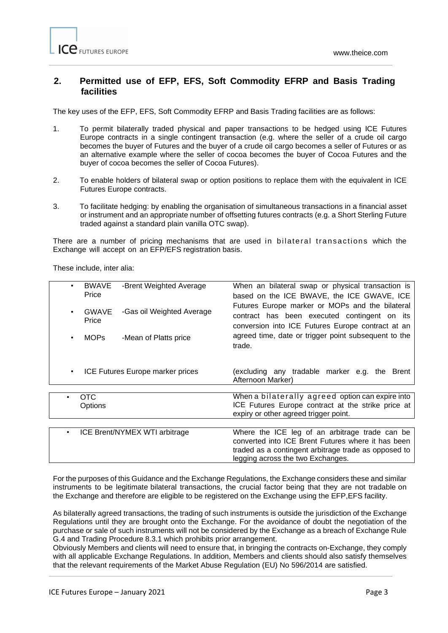## 0B**2. Permitted use of EFP, EFS, Soft Commodity EFRP and Basis Trading facilities**

The key uses of the EFP, EFS, Soft Commodity EFRP and Basis Trading facilities are as follows:

- 1. To permit bilaterally traded physical and paper transactions to be hedged using ICE Futures Europe contracts in a single contingent transaction (e.g. where the seller of a crude oil cargo becomes the buyer of Futures and the buyer of a crude oil cargo becomes a seller of Futures or as an alternative example where the seller of cocoa becomes the buyer of Cocoa Futures and the buyer of cocoa becomes the seller of Cocoa Futures).
- 2. To enable holders of bilateral swap or option positions to replace them with the equivalent in ICE Futures Europe contracts.
- 3. To facilitate hedging: by enabling the organisation of simultaneous transactions in a financial asset or instrument and an appropriate number of offsetting futures contracts (e.g. a Short Sterling Future traded against a standard plain vanilla OTC swap).

There are a number of pricing mechanisms that are used in bilateral transactions which the Exchange will accept on an EFP/EFS registration basis.

These include, inter alia:

| $\bullet$                                     | <b>BWAVE</b><br>Price | -Brent Weighted Average   | When an bilateral swap or physical transaction is<br>based on the ICE BWAVE, the ICE GWAVE, ICE                                                                                                   |
|-----------------------------------------------|-----------------------|---------------------------|---------------------------------------------------------------------------------------------------------------------------------------------------------------------------------------------------|
| $\bullet$                                     | <b>GWAVE</b><br>Price | -Gas oil Weighted Average | Futures Europe marker or MOPs and the bilateral<br>contract has been executed contingent on its<br>conversion into ICE Futures Europe contract at an                                              |
| $\bullet$                                     | <b>MOPs</b>           | -Mean of Platts price     | agreed time, date or trigger point subsequent to the<br>trade.                                                                                                                                    |
| ICE Futures Europe marker prices<br>$\bullet$ |                       |                           | (excluding any tradable marker e.g. the<br>Brent<br>Afternoon Marker)                                                                                                                             |
|                                               |                       |                           |                                                                                                                                                                                                   |
|                                               | OTC                   |                           | When a bilaterally agreed option can expire into                                                                                                                                                  |
|                                               | Options               |                           | ICE Futures Europe contract at the strike price at<br>expiry or other agreed trigger point.                                                                                                       |
|                                               |                       |                           |                                                                                                                                                                                                   |
| ICE Brent/NYMEX WTI arbitrage<br>٠            |                       |                           | Where the ICE leg of an arbitrage trade can be<br>converted into ICE Brent Futures where it has been<br>traded as a contingent arbitrage trade as opposed to<br>legging across the two Exchanges. |

For the purposes of this Guidance and the Exchange Regulations, the Exchange considers these and similar instruments to be legitimate bilateral transactions, the crucial factor being that they are not tradable on the Exchange and therefore are eligible to be registered on the Exchange using the EFP,EFS facility.

As bilaterally agreed transactions, the trading of such instruments is outside the jurisdiction of the Exchange Regulations until they are brought onto the Exchange. For the avoidance of doubt the negotiation of the purchase or sale of such instruments will not be considered by the Exchange as a breach of Exchange Rule G.4 and Trading Procedure 8.3.1 which prohibits prior arrangement.

Obviously Members and clients will need to ensure that, in bringing the contracts on-Exchange, they comply with all applicable Exchange Regulations. In addition, Members and clients should also satisfy themselves that the relevant requirements of the Market Abuse Regulation (EU) No 596/2014 are satisfied.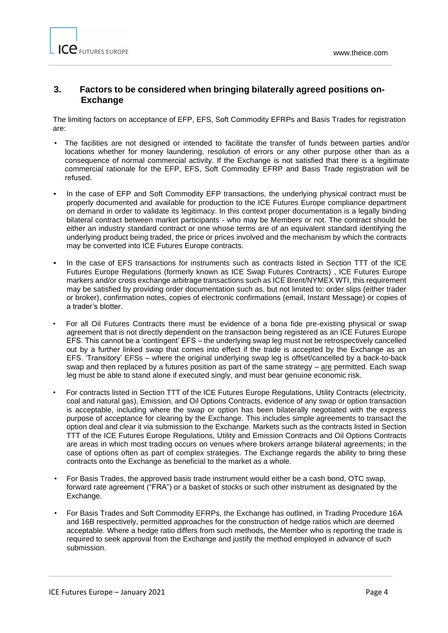## 1B**3. Factors to be considered when bringing bilaterally agreed positions on-Exchange**

The limiting factors on acceptance of EFP, EFS, Soft Commodity EFRPs and Basis Trades for registration are:

- The facilities are not designed or intended to facilitate the transfer of funds between parties and/or locations whether for money laundering, resolution of errors or any other purpose other than as a consequence of normal commercial activity. If the Exchange is not satisfied that there is a legitimate commercial rationale for the EFP, EFS, Soft Commodity EFRP and Basis Trade registration will be refused.
- In the case of EFP and Soft Commodity EFP transactions, the underlying physical contract must be properly documented and available for production to the ICE Futures Europe compliance department on demand in order to validate its legitimacy. In this context proper documentation is a legally binding bilateral contract between market participants - who may be Members or not. The contract should be either an industry standard contract or one whose terms are of an equivalent standard identifying the underlying product being traded, the price or prices involved and the mechanism by which the contracts may be converted into ICE Futures Europe contracts.
- In the case of EFS transactions for instruments such as contracts listed in Section TTT of the ICE Futures Europe Regulations (formerly known as ICE Swap Futures Contracts) , ICE Futures Europe markers and/or cross exchange arbitrage transactions such as ICE Brent/NYMEX WTI, this requirement may be satisfied by providing order documentation such as, but not limited to: order slips (either trader or broker), confirmation notes, copies of electronic confirmations (email, Instant Message) or copies of a trader's blotter.
- For all Oil Futures Contracts there must be evidence of a bona fide pre-existing physical or swap agreement that is not directly dependent on the transaction being registered as an ICE Futures Europe EFS. This cannot be a 'contingent' EFS – the underlying swap leg must not be retrospectively cancelled out by a further linked swap that comes into effect if the trade is accepted by the Exchange as an EFS. 'Transitory' EFSs – where the original underlying swap leg is offset/cancelled by a back-to-back swap and then replaced by a futures position as part of the same strategy  $-$  are permitted. Each swap leg must be able to stand alone if executed singly, and must bear genuine economic risk.
- For contracts listed in Section TTT of the ICE Futures Europe Regulations, Utility Contracts (electricity, coal and natural gas), Emission, and Oil Options Contracts, evidence of any swap or option transaction is acceptable, including where the swap or option has been bilaterally negotiated with the express purpose of acceptance for clearing by the Exchange. This includes simple agreements to transact the option deal and clear it via submission to the Exchange. Markets such as the contracts listed in Section TTT of the ICE Futures Europe Regulations, Utility and Emission Contracts and Oil Options Contracts are areas in which most trading occurs on venues where brokers arrange bilateral agreements; in the case of options often as part of complex strategies. The Exchange regards the ability to bring these contracts onto the Exchange as beneficial to the market as a whole.
- For Basis Trades, the approved basis trade instrument would either be a cash bond, OTC swap, forward rate agreement ("FRA") or a basket of stocks or such other instrument as designated by the Exchange.
- For Basis Trades and Soft Commodity EFRPs, the Exchange has outlined, in Trading Procedure 16A and 16B respectively, permitted approaches for the construction of hedge ratios which are deemed acceptable. Where a hedge ratio differs from such methods, the Member who is reporting the trade is required to seek approval from the Exchange and justify the method employed in advance of such submission.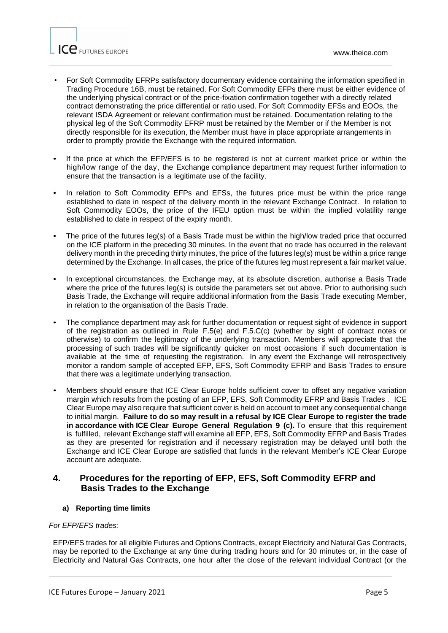

- For Soft Commodity EFRPs satisfactory documentary evidence containing the information specified in Trading Procedure 16B, must be retained. For Soft Commodity EFPs there must be either evidence of the underlying physical contract or of the price-fixation confirmation together with a directly related contract demonstrating the price differential or ratio used. For Soft Commodity EFSs and EOOs, the relevant ISDA Agreement or relevant confirmation must be retained. Documentation relating to the physical leg of the Soft Commodity EFRP must be retained by the Member or if the Member is not directly responsible for its execution, the Member must have in place appropriate arrangements in order to promptly provide the Exchange with the required information.
- If the price at which the EFP/EFS is to be registered is not at current market price or within the high/low range of the day, the Exchange compliance department may request further information to ensure that the transaction is a legitimate use of the facility.
- In relation to Soft Commodity EFPs and EFSs, the futures price must be within the price range established to date in respect of the delivery month in the relevant Exchange Contract. In relation to Soft Commodity EOOs, the price of the IFEU option must be within the implied volatility range established to date in respect of the expiry month.
- The price of the futures leg(s) of a Basis Trade must be within the high/low traded price that occurred on the ICE platform in the preceding 30 minutes. In the event that no trade has occurred in the relevant delivery month in the preceding thirty minutes, the price of the futures leg(s) must be within a price range determined by the Exchange. In all cases, the price of the futures leg must represent a fair market value.
- In exceptional circumstances, the Exchange may, at its absolute discretion, authorise a Basis Trade where the price of the futures leg(s) is outside the parameters set out above. Prior to authorising such Basis Trade, the Exchange will require additional information from the Basis Trade executing Member, in relation to the organisation of the Basis Trade.
- The compliance department may ask for further documentation or request sight of evidence in support of the registration as outlined in Rule F.5(e) and F.5.C(c) (whether by sight of contract notes or otherwise) to confirm the legitimacy of the underlying transaction. Members will appreciate that the processing of such trades will be significantly quicker on most occasions if such documentation is available at the time of requesting the registration. In any event the Exchange will retrospectively monitor a random sample of accepted EFP, EFS, Soft Commodity EFRP and Basis Trades to ensure that there was a legitimate underlying transaction.
- Members should ensure that ICE Clear Europe holds sufficient cover to offset any negative variation margin which results from the posting of an EFP, EFS, Soft Commodity EFRP and Basis Trades . ICE Clear Europe may also require that sufficient cover is held on account to meet any consequential change to initial margin. **Failure to do so may result in a refusal by ICE Clear Europe to register the trade in accordance with ICE Clear Europe General Regulation 9 (c).** To ensure that this requirement is fulfilled, relevant Exchange staff will examine all EFP, EFS, Soft Commodity EFRP and Basis Trades as they are presented for registration and if necessary registration may be delayed until both the Exchange and ICE Clear Europe are satisfied that funds in the relevant Member's ICE Clear Europe account are adequate.

### **4. Procedures for the reporting of EFP, EFS, Soft Commodity EFRP and Basis Trades to the Exchange**

#### **a) Reporting time limits**

#### *For EFP/EFS trades:*

EFP/EFS trades for all eligible Futures and Options Contracts, except Electricity and Natural Gas Contracts, may be reported to the Exchange at any time during trading hours and for 30 minutes or, in the case of Electricity and Natural Gas Contracts, one hour after the close of the relevant individual Contract (or the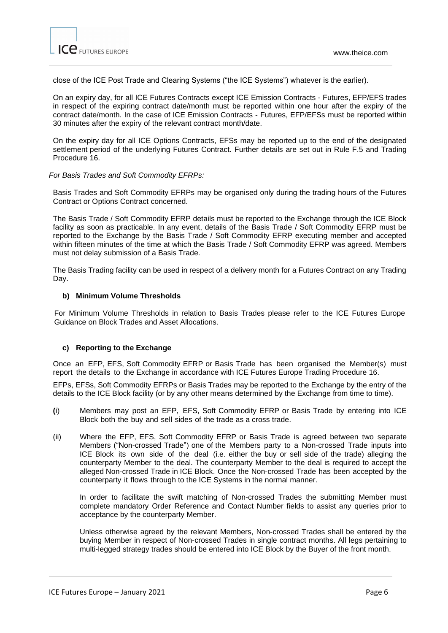

close of the ICE Post Trade and Clearing Systems ("the ICE Systems") whatever is the earlier).

On an expiry day, for all ICE Futures Contracts except ICE Emission Contracts - Futures, EFP/EFS trades in respect of the expiring contract date/month must be reported within one hour after the expiry of the contract date/month. In the case of ICE Emission Contracts - Futures, EFP/EFSs must be reported within 30 minutes after the expiry of the relevant contract month/date.

On the expiry day for all ICE Options Contracts, EFSs may be reported up to the end of the designated settlement period of the underlying Futures Contract. Further details are set out in Rule F.5 and Trading Procedure 16.

#### *For Basis Trades and Soft Commodity EFRPs:*

Basis Trades and Soft Commodity EFRPs may be organised only during the trading hours of the Futures Contract or Options Contract concerned.

The Basis Trade / Soft Commodity EFRP details must be reported to the Exchange through the ICE Block facility as soon as practicable. In any event, details of the Basis Trade / Soft Commodity EFRP must be reported to the Exchange by the Basis Trade / Soft Commodity EFRP executing member and accepted within fifteen minutes of the time at which the Basis Trade / Soft Commodity EFRP was agreed. Members must not delay submission of a Basis Trade.

The Basis Trading facility can be used in respect of a delivery month for a Futures Contract on any Trading Day.

#### **b) Minimum Volume Thresholds**

For Minimum Volume Thresholds in relation to Basis Trades please refer to the ICE Futures Europe Guidance on Block Trades and Asset Allocations.

#### **c) Reporting to the Exchange**

Once an EFP, EFS, Soft Commodity EFRP or Basis Trade has been organised the Member(s) must report the details to the Exchange in accordance with ICE Futures Europe Trading Procedure 16.

EFPs, EFSs, Soft Commodity EFRPs or Basis Trades may be reported to the Exchange by the entry of the details to the ICE Block facility (or by any other means determined by the Exchange from time to time).

- **(**i) Members may post an EFP, EFS, Soft Commodity EFRP or Basis Trade by entering into ICE Block both the buy and sell sides of the trade as a cross trade.
- (ii) Where the EFP, EFS, Soft Commodity EFRP or Basis Trade is agreed between two separate Members ("Non-crossed Trade") one of the Members party to a Non-crossed Trade inputs into ICE Block its own side of the deal (i.e. either the buy or sell side of the trade) alleging the counterparty Member to the deal. The counterparty Member to the deal is required to accept the alleged Non-crossed Trade in ICE Block. Once the Non-crossed Trade has been accepted by the counterparty it flows through to the ICE Systems in the normal manner.

In order to facilitate the swift matching of Non-crossed Trades the submitting Member must complete mandatory Order Reference and Contact Number fields to assist any queries prior to acceptance by the counterparty Member.

Unless otherwise agreed by the relevant Members, Non-crossed Trades shall be entered by the buying Member in respect of Non-crossed Trades in single contract months. All legs pertaining to multi-legged strategy trades should be entered into ICE Block by the Buyer of the front month.